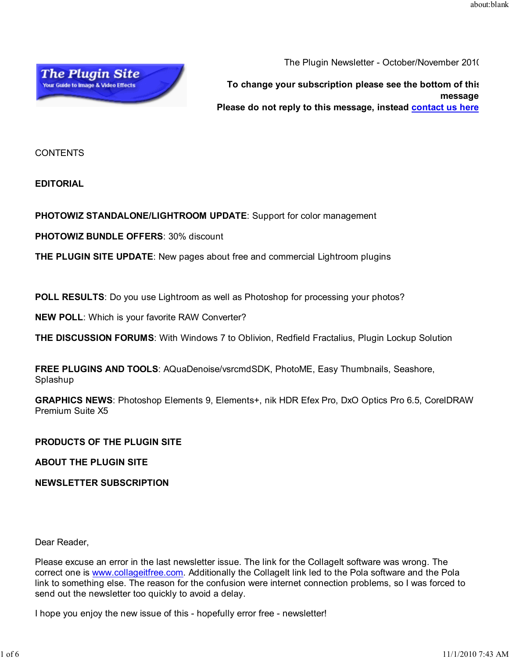

The Plugin Newsletter - October/November 2010

**To change your subscription please see the bottom of this message Please do not reply to this message, instead contact us here**

CONTENTS

**EDITORIAL**

**PHOTOWIZ STANDALONE/LIGHTROOM UPDATE**: Support for color management

**PHOTOWIZ BUNDLE OFFERS**: 30% discount

**THE PLUGIN SITE UPDATE**: New pages about free and commercial Lightroom plugins

**POLL RESULTS**: Do you use Lightroom as well as Photoshop for processing your photos?

**NEW POLL**: Which is your favorite RAW Converter?

**THE DISCUSSION FORUMS**: With Windows 7 to Oblivion, Redfield Fractalius, Plugin Lockup Solution

**FREE PLUGINS AND TOOLS**: AQuaDenoise/vsrcmdSDK, PhotoME, Easy Thumbnails, Seashore, Splashup

**GRAPHICS NEWS**: Photoshop Elements 9, Elements+, nik HDR Efex Pro, DxO Optics Pro 6.5, CorelDRAW Premium Suite X5

## **PRODUCTS OF THE PLUGIN SITE**

**ABOUT THE PLUGIN SITE**

**NEWSLETTER SUBSCRIPTION**

Dear Reader,

Please excuse an error in the last newsletter issue. The link for the CollageIt software was wrong. The correct one is www.collageitfree.com. Additionally the CollageIt link led to the Pola software and the Pola link to something else. The reason for the confusion were internet connection problems, so I was forced to send out the newsletter too quickly to avoid a delay.

I hope you enjoy the new issue of this - hopefully error free - newsletter!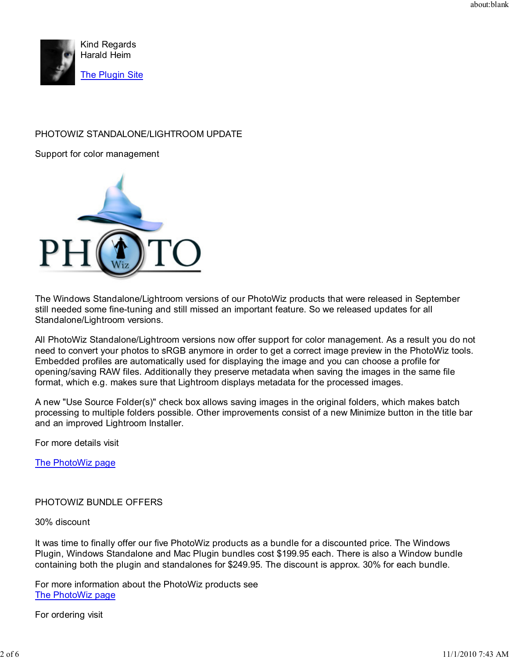

# PHOTOWIZ STANDALONE/LIGHTROOM UPDATE

Support for color management



The Windows Standalone/Lightroom versions of our PhotoWiz products that were released in September still needed some fine-tuning and still missed an important feature. So we released updates for all Standalone/Lightroom versions.

All PhotoWiz Standalone/Lightroom versions now offer support for color management. As a result you do not need to convert your photos to sRGB anymore in order to get a correct image preview in the PhotoWiz tools. Embedded profiles are automatically used for displaying the image and you can choose a profile for opening/saving RAW files. Additionally they preserve metadata when saving the images in the same file format, which e.g. makes sure that Lightroom displays metadata for the processed images.

A new "Use Source Folder(s)" check box allows saving images in the original folders, which makes batch processing to multiple folders possible. Other improvements consist of a new Minimize button in the title bar and an improved Lightroom Installer.

For more details visit

The PhotoWiz page

PHOTOWIZ BUNDLE OFFERS

30% discount

It was time to finally offer our five PhotoWiz products as a bundle for a discounted price. The Windows Plugin, Windows Standalone and Mac Plugin bundles cost \$199.95 each. There is also a Window bundle containing both the plugin and standalones for \$249.95. The discount is approx. 30% for each bundle.

For more information about the PhotoWiz products see The PhotoWiz page

For ordering visit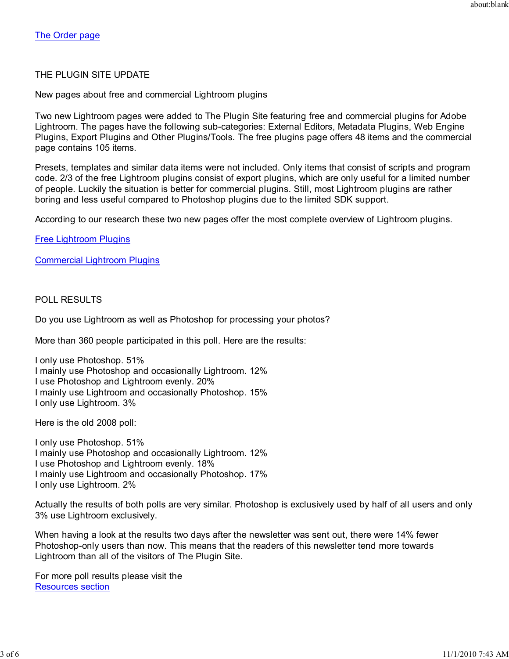# THE PLUGIN SITE UPDATE

New pages about free and commercial Lightroom plugins

Two new Lightroom pages were added to The Plugin Site featuring free and commercial plugins for Adobe Lightroom. The pages have the following sub-categories: External Editors, Metadata Plugins, Web Engine Plugins, Export Plugins and Other Plugins/Tools. The free plugins page offers 48 items and the commercial page contains 105 items.

Presets, templates and similar data items were not included. Only items that consist of scripts and program code. 2/3 of the free Lightroom plugins consist of export plugins, which are only useful for a limited number of people. Luckily the situation is better for commercial plugins. Still, most Lightroom plugins are rather boring and less useful compared to Photoshop plugins due to the limited SDK support.

According to our research these two new pages offer the most complete overview of Lightroom plugins.

Free Lightroom Plugins

Commercial Lightroom Plugins

# POLL RESULTS

Do you use Lightroom as well as Photoshop for processing your photos?

More than 360 people participated in this poll. Here are the results:

I only use Photoshop. 51% I mainly use Photoshop and occasionally Lightroom. 12% I use Photoshop and Lightroom evenly. 20% I mainly use Lightroom and occasionally Photoshop. 15% I only use Lightroom. 3%

Here is the old 2008 poll:

I only use Photoshop. 51% I mainly use Photoshop and occasionally Lightroom. 12% I use Photoshop and Lightroom evenly. 18% I mainly use Lightroom and occasionally Photoshop. 17% I only use Lightroom. 2%

Actually the results of both polls are very similar. Photoshop is exclusively used by half of all users and only 3% use Lightroom exclusively.

When having a look at the results two days after the newsletter was sent out, there were 14% fewer Photoshop-only users than now. This means that the readers of this newsletter tend more towards Lightroom than all of the visitors of The Plugin Site.

For more poll results please visit the Resources section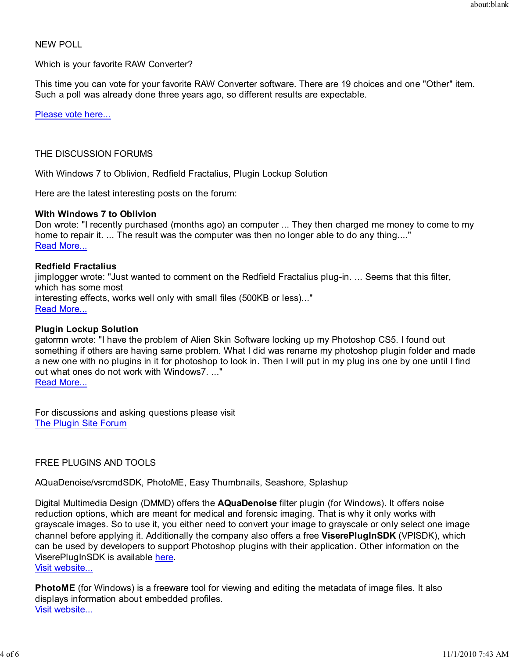## NEW POLL

### Which is your favorite RAW Converter?

This time you can vote for your favorite RAW Converter software. There are 19 choices and one "Other" item. Such a poll was already done three years ago, so different results are expectable.

Please vote here...

## THE DISCUSSION FORUMS

With Windows 7 to Oblivion, Redfield Fractalius, Plugin Lockup Solution

Here are the latest interesting posts on the forum:

#### **With Windows 7 to Oblivion**

Don wrote: "I recently purchased (months ago) an computer ... They then charged me money to come to my home to repair it. ... The result was the computer was then no longer able to do any thing...." Read More...

#### **Redfield Fractalius**

jimplogger wrote: "Just wanted to comment on the Redfield Fractalius plug-in. ... Seems that this filter, which has some most interesting effects, works well only with small files (500KB or less)..." Read More...

#### **Plugin Lockup Solution**

gatormn wrote: "I have the problem of Alien Skin Software locking up my Photoshop CS5. I found out something if others are having same problem. What I did was rename my photoshop plugin folder and made a new one with no plugins in it for photoshop to look in. Then I will put in my plug ins one by one until I find out what ones do not work with Windows7. ..." Read More...

For discussions and asking questions please visit The Plugin Site Forum

## FREE PLUGINS AND TOOLS

AQuaDenoise/vsrcmdSDK, PhotoME, Easy Thumbnails, Seashore, Splashup

Digital Multimedia Design (DMMD) offers the **AQuaDenoise** filter plugin (for Windows). It offers noise reduction options, which are meant for medical and forensic imaging. That is why it only works with grayscale images. So to use it, you either need to convert your image to grayscale or only select one image channel before applying it. Additionally the company also offers a free **ViserePlugInSDK** (VPISDK), which can be used by developers to support Photoshop plugins with their application. Other information on the ViserePlugInSDK is available here.

Visit website...

**PhotoME** (for Windows) is a freeware tool for viewing and editing the metadata of image files. It also displays information about embedded profiles. Visit website...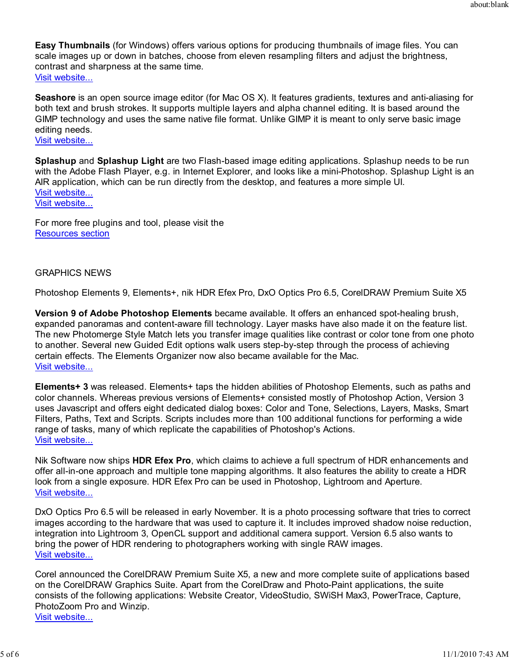**Easy Thumbnails** (for Windows) offers various options for producing thumbnails of image files. You can scale images up or down in batches, choose from eleven resampling filters and adjust the brightness, contrast and sharpness at the same time. Visit website...

**Seashore** is an open source image editor (for Mac OS X). It features gradients, textures and anti-aliasing for both text and brush strokes. It supports multiple layers and alpha channel editing. It is based around the GIMP technology and uses the same native file format. Unlike GIMP it is meant to only serve basic image editing needs.

Visit website...

**Splashup** and **Splashup Light** are two Flash-based image editing applications. Splashup needs to be run with the Adobe Flash Player, e.g. in Internet Explorer, and looks like a mini-Photoshop. Splashup Light is an AIR application, which can be run directly from the desktop, and features a more simple UI. Visit website... Visit website...

For more free plugins and tool, please visit the Resources section

## GRAPHICS NEWS

Photoshop Elements 9, Elements+, nik HDR Efex Pro, DxO Optics Pro 6.5, CorelDRAW Premium Suite X5

**Version 9 of Adobe Photoshop Elements** became available. It offers an enhanced spot-healing brush, expanded panoramas and content-aware fill technology. Layer masks have also made it on the feature list. The new Photomerge Style Match lets you transfer image qualities like contrast or color tone from one photo to another. Several new Guided Edit options walk users step-by-step through the process of achieving certain effects. The Elements Organizer now also became available for the Mac. Visit website...

**Elements+ 3** was released. Elements+ taps the hidden abilities of Photoshop Elements, such as paths and color channels. Whereas previous versions of Elements+ consisted mostly of Photoshop Action, Version 3 uses Javascript and offers eight dedicated dialog boxes: Color and Tone, Selections, Layers, Masks, Smart Filters, Paths, Text and Scripts. Scripts includes more than 100 additional functions for performing a wide range of tasks, many of which replicate the capabilities of Photoshop's Actions. Visit website...

Nik Software now ships **HDR Efex Pro**, which claims to achieve a full spectrum of HDR enhancements and offer all-in-one approach and multiple tone mapping algorithms. It also features the ability to create a HDR look from a single exposure. HDR Efex Pro can be used in Photoshop, Lightroom and Aperture. Visit website...

DxO Optics Pro 6.5 will be released in early November. It is a photo processing software that tries to correct images according to the hardware that was used to capture it. It includes improved shadow noise reduction, integration into Lightroom 3, OpenCL support and additional camera support. Version 6.5 also wants to bring the power of HDR rendering to photographers working with single RAW images. Visit website...

Corel announced the CorelDRAW Premium Suite X5, a new and more complete suite of applications based on the CorelDRAW Graphics Suite. Apart from the CorelDraw and Photo-Paint applications, the suite consists of the following applications: Website Creator, VideoStudio, SWiSH Max3, PowerTrace, Capture, PhotoZoom Pro and Winzip. Visit website...